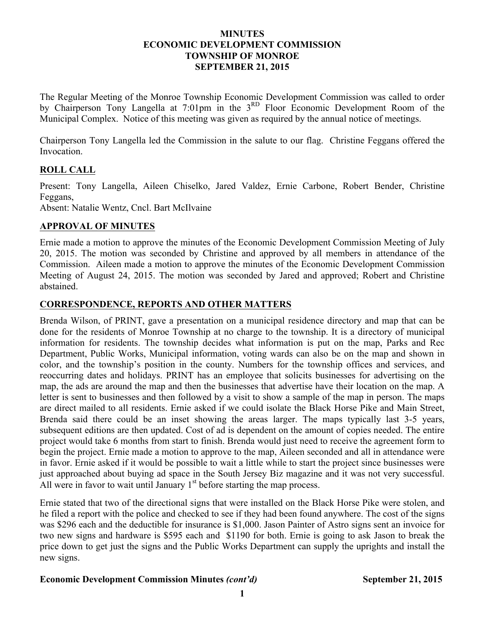#### **MINUTES ECONOMIC DEVELOPMENT COMMISSION TOWNSHIP OF MONROE SEPTEMBER 21, 2015**

The Regular Meeting of the Monroe Township Economic Development Commission was called to order by Chairperson Tony Langella at 7:01pm in the 3<sup>RD</sup> Floor Economic Development Room of the Municipal Complex. Notice of this meeting was given as required by the annual notice of meetings.

Chairperson Tony Langella led the Commission in the salute to our flag. Christine Feggans offered the Invocation.

## **ROLL CALL**

Present: Tony Langella, Aileen Chiselko, Jared Valdez, Ernie Carbone, Robert Bender, Christine Feggans,

Absent: Natalie Wentz, Cncl. Bart McIlvaine

## **APPROVAL OF MINUTES**

Ernie made a motion to approve the minutes of the Economic Development Commission Meeting of July 20, 2015. The motion was seconded by Christine and approved by all members in attendance of the Commission. Aileen made a motion to approve the minutes of the Economic Development Commission Meeting of August 24, 2015. The motion was seconded by Jared and approved; Robert and Christine abstained.

## **CORRESPONDENCE, REPORTS AND OTHER MATTERS**

Brenda Wilson, of PRINT, gave a presentation on a municipal residence directory and map that can be done for the residents of Monroe Township at no charge to the township. It is a directory of municipal information for residents. The township decides what information is put on the map, Parks and Rec Department, Public Works, Municipal information, voting wards can also be on the map and shown in color, and the township's position in the county. Numbers for the township offices and services, and reoccurring dates and holidays. PRINT has an employee that solicits businesses for advertising on the map, the ads are around the map and then the businesses that advertise have their location on the map. A letter is sent to businesses and then followed by a visit to show a sample of the map in person. The maps are direct mailed to all residents. Ernie asked if we could isolate the Black Horse Pike and Main Street, Brenda said there could be an inset showing the areas larger. The maps typically last 3-5 years, subsequent editions are then updated. Cost of ad is dependent on the amount of copies needed. The entire project would take 6 months from start to finish. Brenda would just need to receive the agreement form to begin the project. Ernie made a motion to approve to the map, Aileen seconded and all in attendance were in favor. Ernie asked if it would be possible to wait a little while to start the project since businesses were just approached about buying ad space in the South Jersey Biz magazine and it was not very successful. All were in favor to wait until January  $1<sup>st</sup>$  before starting the map process.

Ernie stated that two of the directional signs that were installed on the Black Horse Pike were stolen, and he filed a report with the police and checked to see if they had been found anywhere. The cost of the signs was \$296 each and the deductible for insurance is \$1,000. Jason Painter of Astro signs sent an invoice for two new signs and hardware is \$595 each and \$1190 for both. Ernie is going to ask Jason to break the price down to get just the signs and the Public Works Department can supply the uprights and install the new signs.

#### **Economic Development Commission Minutes** *(cont'd)* **September 21, 2015**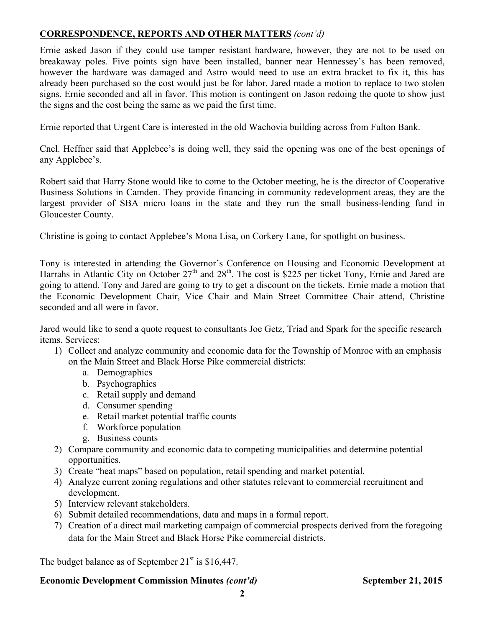# **CORRESPONDENCE, REPORTS AND OTHER MATTERS** *(cont'd)*

Ernie asked Jason if they could use tamper resistant hardware, however, they are not to be used on breakaway poles. Five points sign have been installed, banner near Hennessey's has been removed, however the hardware was damaged and Astro would need to use an extra bracket to fix it, this has already been purchased so the cost would just be for labor. Jared made a motion to replace to two stolen signs. Ernie seconded and all in favor. This motion is contingent on Jason redoing the quote to show just the signs and the cost being the same as we paid the first time.

Ernie reported that Urgent Care is interested in the old Wachovia building across from Fulton Bank.

Cncl. Heffner said that Applebee's is doing well, they said the opening was one of the best openings of any Applebee's.

Robert said that Harry Stone would like to come to the October meeting, he is the director of Cooperative Business Solutions in Camden. They provide financing in community redevelopment areas, they are the largest provider of SBA micro loans in the state and they run the small business-lending fund in Gloucester County.

Christine is going to contact Applebee's Mona Lisa, on Corkery Lane, for spotlight on business.

Tony is interested in attending the Governor's Conference on Housing and Economic Development at Harrahs in Atlantic City on October  $27<sup>th</sup>$  and  $28<sup>th</sup>$ . The cost is \$225 per ticket Tony, Ernie and Jared are going to attend. Tony and Jared are going to try to get a discount on the tickets. Ernie made a motion that the Economic Development Chair, Vice Chair and Main Street Committee Chair attend, Christine seconded and all were in favor.

Jared would like to send a quote request to consultants Joe Getz, Triad and Spark for the specific research items. Services:

- 1) Collect and analyze community and economic data for the Township of Monroe with an emphasis on the Main Street and Black Horse Pike commercial districts:
	- a. Demographics
	- b. Psychographics
	- c. Retail supply and demand
	- d. Consumer spending
	- e. Retail market potential traffic counts
	- f. Workforce population
	- g. Business counts
- 2) Compare community and economic data to competing municipalities and determine potential opportunities.
- 3) Create "heat maps" based on population, retail spending and market potential.
- 4) Analyze current zoning regulations and other statutes relevant to commercial recruitment and development.
- 5) Interview relevant stakeholders.
- 6) Submit detailed recommendations, data and maps in a formal report.
- 7) Creation of a direct mail marketing campaign of commercial prospects derived from the foregoing data for the Main Street and Black Horse Pike commercial districts.

The budget balance as of September  $21<sup>st</sup>$  is \$16,447.

## **Economic Development Commission Minutes** *(cont'd)* **September 21, 2015**